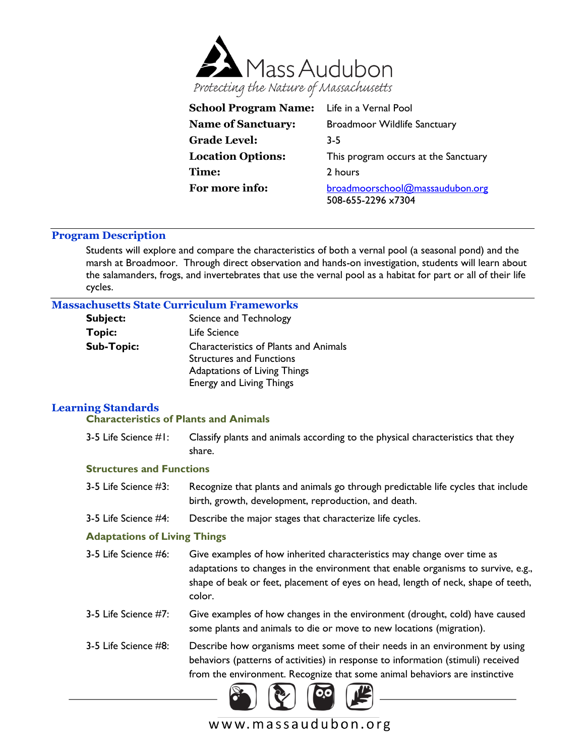

| School Program Name: Life in a Vernal Pool |                                                       |  |
|--------------------------------------------|-------------------------------------------------------|--|
| <b>Name of Sanctuary:</b>                  | <b>Broadmoor Wildlife Sanctuary</b>                   |  |
| <b>Grade Level:</b>                        | $3-5$                                                 |  |
| <b>Location Options:</b>                   | This program occurs at the Sanctuary                  |  |
| <b>Time:</b>                               | 2 hours                                               |  |
| For more info:                             | broadmoorschool@massaudubon.org<br>508-655-2296 x7304 |  |

### **Program Description**

Students will explore and compare the characteristics of both a vernal pool (a seasonal pond) and the marsh at Broadmoor. Through direct observation and hands-on investigation, students will learn about the salamanders, frogs, and invertebrates that use the vernal pool as a habitat for part or all of their life cycles.

### **Massachusetts State Curriculum Frameworks**

| <b>Subject:</b>   | Science and Technology                                                                                                                      |  |
|-------------------|---------------------------------------------------------------------------------------------------------------------------------------------|--|
| <b>Topic:</b>     | Life Science                                                                                                                                |  |
| <b>Sub-Topic:</b> | <b>Characteristics of Plants and Animals</b><br><b>Structures and Functions</b><br>Adaptations of Living Things<br>Energy and Living Things |  |

# **Learning Standards**

### **Characteristics of Plants and Animals**

3-5 Life Science #1: Classify plants and animals according to the physical characteristics that they share.

#### **Structures and Functions**

- 3-5 Life Science #3: Recognize that plants and animals go through predictable life cycles that include birth, growth, development, reproduction, and death.
- 3-5 Life Science #4: Describe the major stages that characterize life cycles.

### **Adaptations of Living Things**

- 3-5 Life Science #6: Give examples of how inherited characteristics may change over time as adaptations to changes in the environment that enable organisms to survive, e.g., shape of beak or feet, placement of eyes on head, length of neck, shape of teeth, color.
- 3-5 Life Science #7: Give examples of how changes in the environment (drought, cold) have caused some plants and animals to die or move to new locations (migration).
- 3-5 Life Science #8: Describe how organisms meet some of their needs in an environment by using behaviors (patterns of activities) in response to information (stimuli) received from the environment. Recognize that some animal behaviors are instinctive



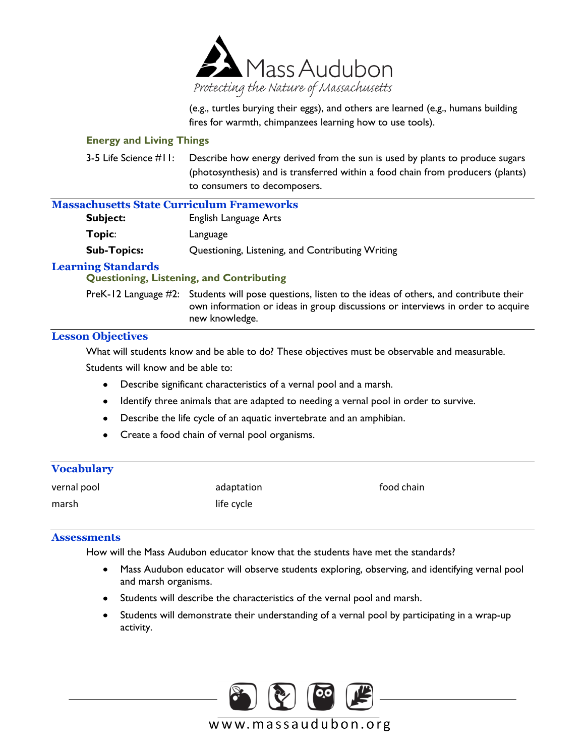

(e.g., turtles burying their eggs), and others are learned (e.g., humans building fires for warmth, chimpanzees learning how to use tools).

### **Energy and Living Things**

3-5 Life Science #11: Describe how energy derived from the sun is used by plants to produce sugars (photosynthesis) and is transferred within a food chain from producers (plants) to consumers to decomposers.

# **Massachusetts State Curriculum Frameworks**

| Subject:           | English Language Arts                            |
|--------------------|--------------------------------------------------|
| Topic:             | Language                                         |
| <b>Sub-Topics:</b> | Questioning, Listening, and Contributing Writing |

# **Learning Standards**

# **Questioning, Listening, and Contributing**

PreK-12 Language #2: Students will pose questions, listen to the ideas of others, and contribute their own information or ideas in group discussions or interviews in order to acquire new knowledge.

# **Lesson Objectives**

What will students know and be able to do? These objectives must be observable and measurable. Students will know and be able to:

- Describe significant characteristics of a vernal pool and a marsh.
- Identify three animals that are adapted to needing a vernal pool in order to survive.
- Describe the life cycle of an aquatic invertebrate and an amphibian.
- Create a food chain of vernal pool organisms.

| <b>Vocabulary</b> |            |            |
|-------------------|------------|------------|
| vernal pool       | adaptation | food chain |
| marsh             | life cycle |            |

### **Assessments**

How will the Mass Audubon educator know that the students have met the standards?

- Mass Audubon educator will observe students exploring, observing, and identifying vernal pool and marsh organisms.
- Students will describe the characteristics of the vernal pool and marsh.
- Students will demonstrate their understanding of a vernal pool by participating in a wrap-up activity.

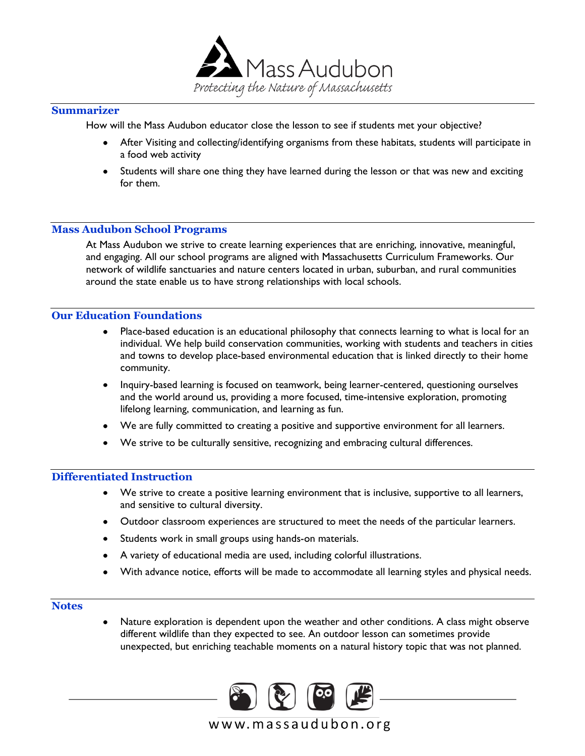

### **Summarizer**

How will the Mass Audubon educator close the lesson to see if students met your objective?

- After Visiting and collecting/identifying organisms from these habitats, students will participate in a food web activity
- Students will share one thing they have learned during the lesson or that was new and exciting for them.

### **Mass Audubon School Programs**

At Mass Audubon we strive to create learning experiences that are enriching, innovative, meaningful, and engaging. All our school programs are aligned with Massachusetts Curriculum Frameworks. Our network of wildlife sanctuaries and nature centers located in urban, suburban, and rural communities around the state enable us to have strong relationships with local schools.

### **Our Education Foundations**

- Place-based education is an educational philosophy that connects learning to what is local for an individual. We help build conservation communities, working with students and teachers in cities and towns to develop place-based environmental education that is linked directly to their home community.
- Inquiry-based learning is focused on teamwork, being learner-centered, questioning ourselves and the world around us, providing a more focused, time-intensive exploration, promoting lifelong learning, communication, and learning as fun.
- We are fully committed to creating a positive and supportive environment for all learners.
- We strive to be culturally sensitive, recognizing and embracing cultural differences.

#### **Differentiated Instruction**

- We strive to create a positive learning environment that is inclusive, supportive to all learners, and sensitive to cultural diversity.
- Outdoor classroom experiences are structured to meet the needs of the particular learners.
- Students work in small groups using hands-on materials.
- A variety of educational media are used, including colorful illustrations.
- With advance notice, efforts will be made to accommodate all learning styles and physical needs.

#### **Notes**

Nature exploration is dependent upon the weather and other conditions. A class might observe different wildlife than they expected to see. An outdoor lesson can sometimes provide unexpected, but enriching teachable moments on a natural history topic that was not planned.